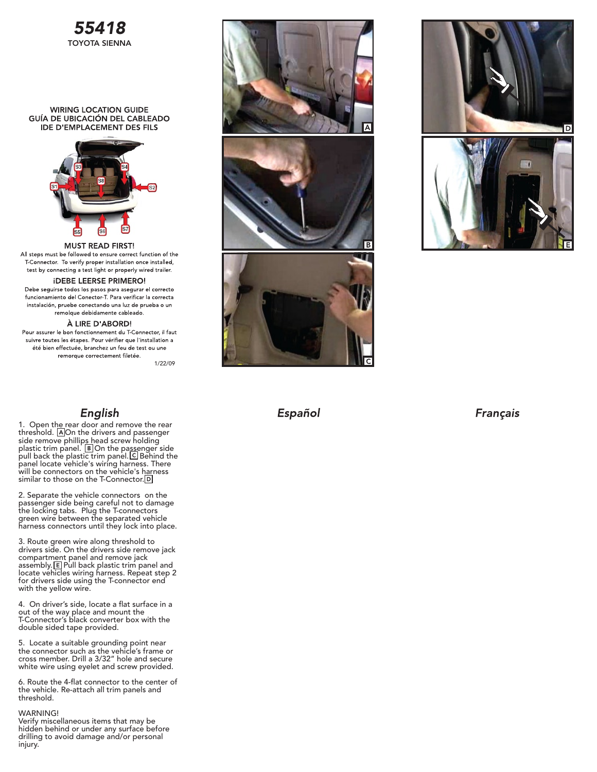

### **WIRING LOCATION GUIDE** GUÍA DE UBICACIÓN DEL CABLEADO **IDE D'EMPLACEMENT DES FILS**



**MUST READ FIRST!** All steps must be followed to ensure correct function of the T-Connector. To verify proper installation once installed, test by connecting a test light or properly wired trailer.

## **IDEBE LEERSE PRIMERO!**

Debe seguirse todos los pasos para asegurar el correcto funcionamiento del Conector T. Para verificar la correcta instalación, pruebe conectando una luz de prueba o un remolque debidamente cableado.

#### À LIRE D'ABORD!

Pour assurer le bon fonctionnement du T-Connector, il faut suivre toutes les étapes. Pour vérifier que l'installation a été bien effectuée, branchez un feu de test ou une remorque correctement filetée.

1/22/09

## English

1. Open the rear door and remove the rear threshold. AOn the drivers and passenger side remove phillip<u>s h</u>ead screw holding plastic trim panel.  $\boxed{B}$  On the passenger side pull back the plastic trim panel. C Behind the panel locate vehicle's wiring harness. There will be connectors on the vehicle's harness similar to those on the T-Connector.

2. Separate the vehicle connectors on the passenger side being careful not to damage the locking tabs. Plug the T-connectors green wire between the separated vehicle harness connectors until they lock into place.

3. Route green wire along threshold to drivers side. On the drivers side remove jack compartment panel and remove jack assembly. E Pull back plastic trim panel and locate vehicles wiring harness. Repeat step 2 for drivers side using the T-connector end with the yellow wire.

4. On driver's side, locate a flat surface in a out of the way place and mount the T-Connector's black converter box with the double sided tape provided.

5. Locate a suitable grounding point near the connector such as the vehicle's frame or cross member. Drill a 3/32" hole and secure white wire using eyelet and screw provided.

6. Route the 4-flat connector to the center of the vehicle. Re-attach all trim panels and threshold.

### WARNING!

Verify miscellaneous items that may be hidden behind or under any surface before drilling to avoid damage and/or personal injury.





# Español

**Français**